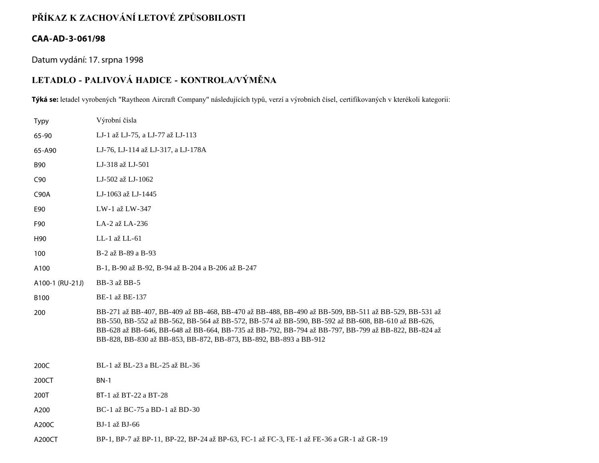# **PŘÍKAZ K ZACHOVÁNÍ LETOVÉ ZPŮSOBILOSTI**

### **CAA-AD-3-061/98**

Datum vydání: 17. srpna 1998

## **LETADLO - PALIVOVÁ HADICE - KONTROLA/VÝMĚNA**

**Týká se:** letadel vyrobených "Raytheon Aircraft Company" následujících typů, verzí a výrobních čísel, certifikovaných v kterékoli kategorii:

| <b>Typy</b>     | Výrobní čísla                                                                                                                                                                                                                                                                                                                                                                        |
|-----------------|--------------------------------------------------------------------------------------------------------------------------------------------------------------------------------------------------------------------------------------------------------------------------------------------------------------------------------------------------------------------------------------|
| 65-90           | LJ-1 až LJ-75, a LJ-77 až LJ-113                                                                                                                                                                                                                                                                                                                                                     |
| 65-A90          | LJ-76, LJ-114 až LJ-317, a LJ-178A                                                                                                                                                                                                                                                                                                                                                   |
| <b>B90</b>      | LJ-318 až LJ-501                                                                                                                                                                                                                                                                                                                                                                     |
| C90             | LJ-502 až LJ-1062                                                                                                                                                                                                                                                                                                                                                                    |
| <b>C90A</b>     | LJ-1063 až LJ-1445                                                                                                                                                                                                                                                                                                                                                                   |
| E90             | LW-1 až LW-347                                                                                                                                                                                                                                                                                                                                                                       |
| F90             | LA-2 až LA-236                                                                                                                                                                                                                                                                                                                                                                       |
| H <sub>90</sub> | LL-1 až LL-61                                                                                                                                                                                                                                                                                                                                                                        |
| 100             | B-2 až B-89 a B-93                                                                                                                                                                                                                                                                                                                                                                   |
| A100            | B-1, B-90 až B-92, B-94 až B-204 a B-206 až B-247                                                                                                                                                                                                                                                                                                                                    |
| A100-1 (RU-21J) | BB-3 až BB-5                                                                                                                                                                                                                                                                                                                                                                         |
| B100            | BE-1 až BE-137                                                                                                                                                                                                                                                                                                                                                                       |
| 200             | BB-271 až BB-407, BB-409 až BB-468, BB-470 až BB-488, BB-490 až BB-509, BB-511 až BB-529, BB-531 až<br>BB-550, BB-552 až BB-562, BB-564 až BB-572, BB-574 až BB-590, BB-592 až BB-608, BB-610 až BB-626,<br>BB-628 až BB-646, BB-648 až BB-664, BB-735 až BB-792, BB-794 až BB-797, BB-799 až BB-822, BB-824 až<br>BB-828, BB-830 až BB-853, BB-872, BB-873, BB-892, BB-893 a BB-912 |
| 200C            | BL-1 až BL-23 a BL-25 až BL-36                                                                                                                                                                                                                                                                                                                                                       |
| 200CT           | <b>BN-1</b>                                                                                                                                                                                                                                                                                                                                                                          |
| 200T            | BT-1 až BT-22 a BT-28                                                                                                                                                                                                                                                                                                                                                                |
| A200            | BC-1 až BC-75 a BD-1 až BD-30                                                                                                                                                                                                                                                                                                                                                        |
| A200C           | BJ-1 až BJ-66                                                                                                                                                                                                                                                                                                                                                                        |

A200CT BP-1, BP-7 až BP-11, BP-22, BP-24 až BP-63, FC-1 až FC-3, FE-1 až FE-36 a GR-1 až GR-19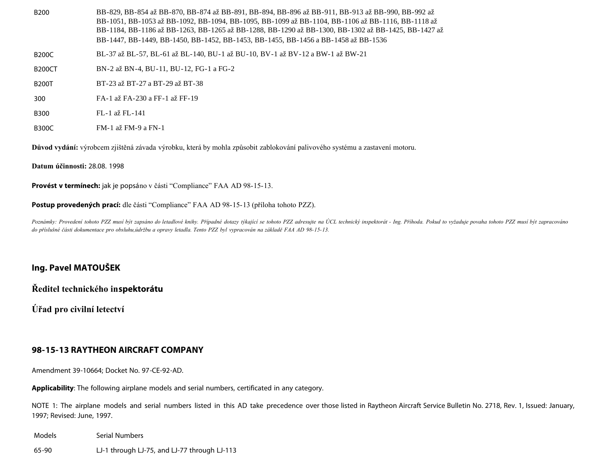| B <sub>200</sub> | BB-829, BB-854 až BB-870, BB-874 až BB-891, BB-894, BB-896 až BB-911, BB-913 až BB-990, BB-992 až<br>BB-1051, BB-1053 až BB-1092, BB-1094, BB-1095, BB-1099 až BB-1104, BB-1106 až BB-1116, BB-1118 až<br>BB-1184, BB-1186 až BB-1263, BB-1265 až BB-1288, BB-1290 až BB-1300, BB-1302 až BB-1425, BB-1427 až<br>BB-1447, BB-1449, BB-1450, BB-1452, BB-1453, BB-1455, BB-1456 a BB-1458 až BB-1536 |
|------------------|-----------------------------------------------------------------------------------------------------------------------------------------------------------------------------------------------------------------------------------------------------------------------------------------------------------------------------------------------------------------------------------------------------|
| <b>B200C</b>     | BL-37 až BL-57, BL-61 až BL-140, BU-1 až BU-10, BV-1 až BV-12 a BW-1 až BW-21                                                                                                                                                                                                                                                                                                                       |
| <b>B200CT</b>    | BN-2 až BN-4, BU-11, BU-12, FG-1 a FG-2                                                                                                                                                                                                                                                                                                                                                             |
| <b>B200T</b>     | BT-23 až BT-27 a BT-29 až BT-38                                                                                                                                                                                                                                                                                                                                                                     |
|                  |                                                                                                                                                                                                                                                                                                                                                                                                     |

- 300 FA-1 až FA-230 a FF-1 až FF-19
- B300 FL-1 až FL-141
- B300C FM-1 až FM-9 a FN-1

**Důvod vydání:** výrobcem zjištěná závada výrobku, která by mohla způsobit zablokování palivového systému a zastavení motoru.

**Datum účinnosti:** 28.08. 1998

**Provést v termínech:** jak je popsáno v části "Compliance" FAA AD 98-15-13.

**Postup provedených prací:** dle části "Compliance" FAA AD 98-15-13 (příloha tohoto PZZ).

Poznámky: Provedení tohoto PZZ musí být zapsáno do letadlové knihy. Případné dotazy týkající se tohoto PZZ adresujte na ÚCL technický inspektorát - Ing. Příhoda. Pokud to vyžaduje povaha tohoto PZZ musí být zapracováno *do příslušné části dokumentace pro obsluhu,údržbu a opravy letadla. Tento PZZ byl vypracován na základě FAA AD 98-15-13.*

#### **Ing. Pavel MATOUŠEK**

**Ředitel technického inspektorátu**

**Úřad pro civilní letectví**

### **98-15-13 RAYTHEON AIRCRAFT COMPANY**

Amendment 39-10664; Docket No. 97-CE-92-AD.

**Applicability**: The following airplane models and serial numbers, certificated in any category.

NOTE 1: The airplane models and serial numbers listed in this AD take precedence over those listed in Raytheon Aircraft Service Bulletin No. 2718, Rev. 1, Issued: January, 1997; Revised: June, 1997.

Models Serial Numbers 65-90 LJ-1 through LJ-75, and LJ-77 through LJ-113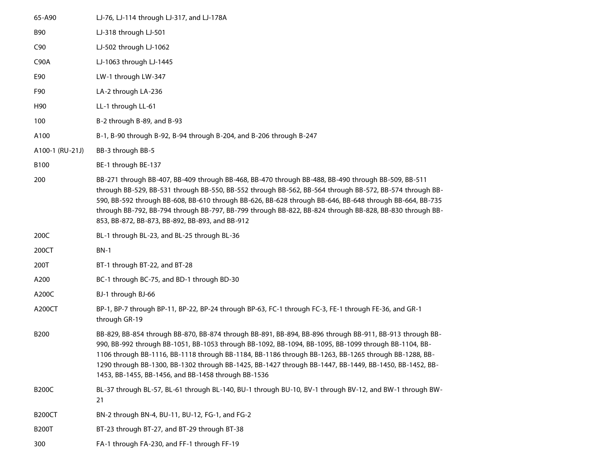| 65-A90          | LJ-76, LJ-114 through LJ-317, and LJ-178A                                                                                                                                                                                                                                                                                                                                                                                                                                                |
|-----------------|------------------------------------------------------------------------------------------------------------------------------------------------------------------------------------------------------------------------------------------------------------------------------------------------------------------------------------------------------------------------------------------------------------------------------------------------------------------------------------------|
| <b>B90</b>      | LJ-318 through LJ-501                                                                                                                                                                                                                                                                                                                                                                                                                                                                    |
| C90             | LJ-502 through LJ-1062                                                                                                                                                                                                                                                                                                                                                                                                                                                                   |
| <b>C90A</b>     | LJ-1063 through LJ-1445                                                                                                                                                                                                                                                                                                                                                                                                                                                                  |
| E90             | LW-1 through LW-347                                                                                                                                                                                                                                                                                                                                                                                                                                                                      |
| F90             | LA-2 through LA-236                                                                                                                                                                                                                                                                                                                                                                                                                                                                      |
| H90             | LL-1 through LL-61                                                                                                                                                                                                                                                                                                                                                                                                                                                                       |
| 100             | B-2 through B-89, and B-93                                                                                                                                                                                                                                                                                                                                                                                                                                                               |
| A100            | B-1, B-90 through B-92, B-94 through B-204, and B-206 through B-247                                                                                                                                                                                                                                                                                                                                                                                                                      |
| A100-1 (RU-21J) | BB-3 through BB-5                                                                                                                                                                                                                                                                                                                                                                                                                                                                        |
| B100            | BE-1 through BE-137                                                                                                                                                                                                                                                                                                                                                                                                                                                                      |
| 200             | BB-271 through BB-407, BB-409 through BB-468, BB-470 through BB-488, BB-490 through BB-509, BB-511<br>through BB-529, BB-531 through BB-550, BB-552 through BB-562, BB-564 through BB-572, BB-574 through BB-<br>590, BB-592 through BB-608, BB-610 through BB-626, BB-628 through BB-646, BB-648 through BB-664, BB-735<br>through BB-792, BB-794 through BB-797, BB-799 through BB-822, BB-824 through BB-828, BB-830 through BB-<br>853, BB-872, BB-873, BB-892, BB-893, and BB-912   |
| 200C            | BL-1 through BL-23, and BL-25 through BL-36                                                                                                                                                                                                                                                                                                                                                                                                                                              |
| 200CT           | <b>BN-1</b>                                                                                                                                                                                                                                                                                                                                                                                                                                                                              |
| 200T            | BT-1 through BT-22, and BT-28                                                                                                                                                                                                                                                                                                                                                                                                                                                            |
| A200            | BC-1 through BC-75, and BD-1 through BD-30                                                                                                                                                                                                                                                                                                                                                                                                                                               |
| A200C           | BJ-1 through BJ-66                                                                                                                                                                                                                                                                                                                                                                                                                                                                       |
| A200CT          | BP-1, BP-7 through BP-11, BP-22, BP-24 through BP-63, FC-1 through FC-3, FE-1 through FE-36, and GR-1<br>through GR-19                                                                                                                                                                                                                                                                                                                                                                   |
| <b>B200</b>     | BB-829, BB-854 through BB-870, BB-874 through BB-891, BB-894, BB-896 through BB-911, BB-913 through BB-<br>990, BB-992 through BB-1051, BB-1053 through BB-1092, BB-1094, BB-1095, BB-1099 through BB-1104, BB-<br>1106 through BB-1116, BB-1118 through BB-1184, BB-1186 through BB-1263, BB-1265 through BB-1288, BB-<br>1290 through BB-1300, BB-1302 through BB-1425, BB-1427 through BB-1447, BB-1449, BB-1450, BB-1452, BB-<br>1453, BB-1455, BB-1456, and BB-1458 through BB-1536 |
| <b>B200C</b>    | BL-37 through BL-57, BL-61 through BL-140, BU-1 through BU-10, BV-1 through BV-12, and BW-1 through BW-<br>21                                                                                                                                                                                                                                                                                                                                                                            |
| <b>B200CT</b>   | BN-2 through BN-4, BU-11, BU-12, FG-1, and FG-2                                                                                                                                                                                                                                                                                                                                                                                                                                          |
| <b>B200T</b>    | BT-23 through BT-27, and BT-29 through BT-38                                                                                                                                                                                                                                                                                                                                                                                                                                             |
| 300             | FA-1 through FA-230, and FF-1 through FF-19                                                                                                                                                                                                                                                                                                                                                                                                                                              |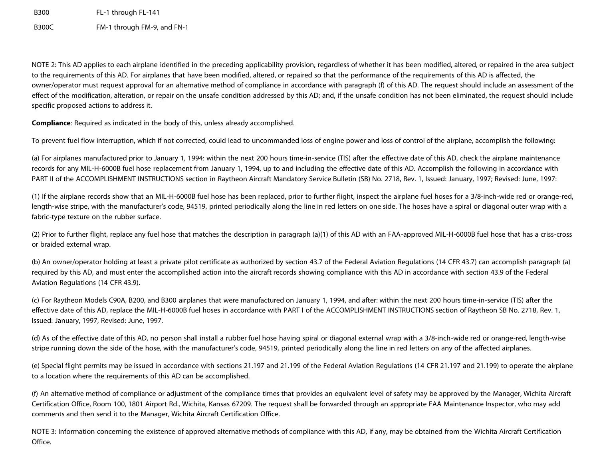B300 FL-1 through FL-141 B300C FM-1 through FM-9, and FN-1

NOTE 2: This AD applies to each airplane identified in the preceding applicability provision, regardless of whether it has been modified, altered, or repaired in the area subject to the requirements of this AD. For airplanes that have been modified, altered, or repaired so that the performance of the requirements of this AD is affected, the owner/operator must request approval for an alternative method of compliance in accordance with paragraph (f) of this AD. The request should include an assessment of the effect of the modification, alteration, or repair on the unsafe condition addressed by this AD; and, if the unsafe condition has not been eliminated, the request should include specific proposed actions to address it.

**Compliance**: Required as indicated in the body of this, unless already accomplished.

To prevent fuel flow interruption, which if not corrected, could lead to uncommanded loss of engine power and loss of control of the airplane, accomplish the following:

(a) For airplanes manufactured prior to January 1, 1994: within the next 200 hours time-in-service (TIS) after the effective date of this AD, check the airplane maintenance records for any MIL-H-6000B fuel hose replacement from January 1, 1994, up to and including the effective date of this AD. Accomplish the following in accordance with PART II of the ACCOMPLISHMENT INSTRUCTIONS section in Raytheon Aircraft Mandatory Service Bulletin (SB) No. 2718, Rev. 1, Issued: January, 1997; Revised: June, 1997:

(1) If the airplane records show that an MIL-H-6000B fuel hose has been replaced, prior to further flight, inspect the airplane fuel hoses for a 3/8-inch-wide red or orange-red, length-wise stripe, with the manufacturer's code, 94519, printed periodically along the line in red letters on one side. The hoses have a spiral or diagonal outer wrap with a fabric-type texture on the rubber surface.

(2) Prior to further flight, replace any fuel hose that matches the description in paragraph (a)(1) of this AD with an FAA-approved MIL-H-6000B fuel hose that has a criss-cross or braided external wrap.

(b) An owner/operator holding at least a private pilot certificate as authorized by section 43.7 of the Federal Aviation Regulations (14 CFR 43.7) can accomplish paragraph (a) required by this AD, and must enter the accomplished action into the aircraft records showing compliance with this AD in accordance with section 43.9 of the Federal Aviation Regulations (14 CFR 43.9).

(c) For Raytheon Models C90A, B200, and B300 airplanes that were manufactured on January 1, 1994, and after: within the next 200 hours time-in-service (TIS) after the effective date of this AD, replace the MIL-H-6000B fuel hoses in accordance with PART I of the ACCOMPLISHMENT INSTRUCTIONS section of Raytheon SB No. 2718, Rev. 1, Issued: January, 1997, Revised: June, 1997.

(d) As of the effective date of this AD, no person shall install a rubber fuel hose having spiral or diagonal external wrap with a 3/8-inch-wide red or orange-red, length-wise stripe running down the side of the hose, with the manufacturer's code, 94519, printed periodically along the line in red letters on any of the affected airplanes.

(e) Special flight permits may be issued in accordance with sections 21.197 and 21.199 of the Federal Aviation Regulations (14 CFR 21.197 and 21.199) to operate the airplane to a location where the requirements of this AD can be accomplished.

(f) An alternative method of compliance or adjustment of the compliance times that provides an equivalent level of safety may be approved by the Manager, Wichita Aircraft Certification Office, Room 100, 1801 Airport Rd., Wichita, Kansas 67209. The request shall be forwarded through an appropriate FAA Maintenance Inspector, who may add comments and then send it to the Manager, Wichita Aircraft Certification Office.

NOTE 3: Information concerning the existence of approved alternative methods of compliance with this AD, if any, may be obtained from the Wichita Aircraft Certification Office.